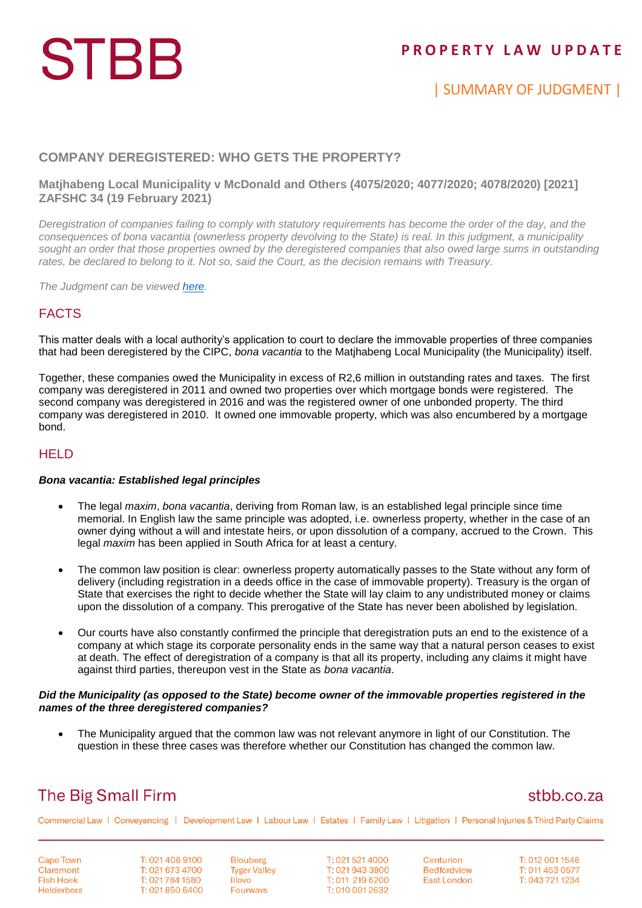# **STBB**

## **P R O P E R T Y L A W U P D A T E**

# | SUMMARY OF JUDGMENT |

### **COMPANY DEREGISTERED: WHO GETS THE PROPERTY?**

### **Matjhabeng Local Municipality v McDonald and Others (4075/2020; 4077/2020; 4078/2020) [2021] ZAFSHC 34 (19 February 2021)**

*Deregistration of companies failing to comply with statutory requirements has become the order of the day, and the consequences of bona vacantia (ownerless property devolving to the State) is real. In this judgment, a municipality sought an order that those properties owned by the deregistered companies that also owed large sums in outstanding rates, be declared to belong to it. Not so, said the Court, as the decision remains with Treasury.*

*The Judgment can be viewed [here.](http://www.saflii.org/za/cases/ZAFSHC/2021/34.html)*

### FACTS

This matter deals with a local authority's application to court to declare the immovable properties of three companies that had been deregistered by the CIPC, *bona vacantia* to the Matjhabeng Local Municipality (the Municipality) itself.

Together, these companies owed the Municipality in excess of R2,6 million in outstanding rates and taxes. The first company was deregistered in 2011 and owned two properties over which mortgage bonds were registered. The second company was deregistered in 2016 and was the registered owner of one unbonded property. The third company was deregistered in 2010. It owned one immovable property, which was also encumbered by a mortgage bond.

### **HELD**

#### *Bona vacantia: Established legal principles*

- The legal *maxim*, *bona vacantia*, deriving from Roman law, is an established legal principle since time memorial. In English law the same principle was adopted, i.e. ownerless property, whether in the case of an owner dying without a will and intestate heirs, or upon dissolution of a company, accrued to the Crown. This legal *maxim* has been applied in South Africa for at least a century.
- The common law position is clear: ownerless property automatically passes to the State without any form of delivery (including registration in a deeds office in the case of immovable property). Treasury is the organ of State that exercises the right to decide whether the State will lay claim to any undistributed money or claims upon the dissolution of a company. This prerogative of the State has never been abolished by legislation.
- Our courts have also constantly confirmed the principle that deregistration puts an end to the existence of a company at which stage its corporate personality ends in the same way that a natural person ceases to exist at death. The effect of deregistration of a company is that all its property, including any claims it might have against third parties, thereupon vest in the State as *bona vacantia*.

#### *Did the Municipality (as opposed to the State) become owner of the immovable properties registered in the names of the three deregistered companies?*

 The Municipality argued that the common law was not relevant anymore in light of our Constitution. The question in these three cases was therefore whether our Constitution has changed the common law.

# **The Big Small Firm**

## stbb.co.za

Commercial Law | Conveyancing | Development Law | Labour Law | Estates | Family Law | Litigation | Personal Injuries & Third Party Claims

**Cape Town** Claremont **Fish Hoek** Helderberg T: 021 406 9100 T: 021 673 4700 T: 021 784 1580 T: 021 850 6400 **Blouberg Tyger Valley Illovo Fourways** 

T: 021 521 4000 T: 021 943 3800 T: 011 219 6200 T: 010 001 2632

Centurion **Bedfordview East London** 

T: 012 001 1546 T: 011 453 0577 T: 043 721 1234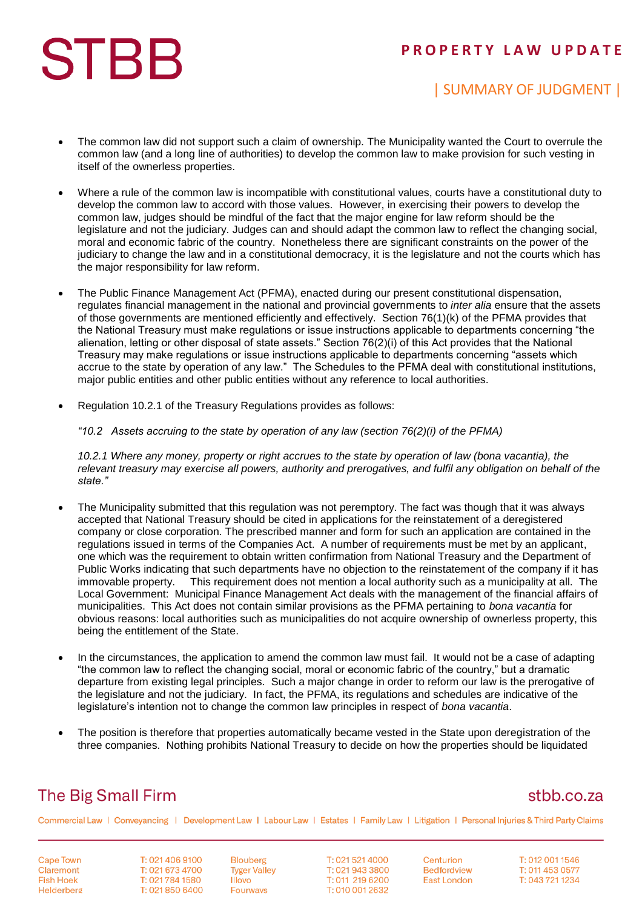# **STBB**

## **P R O P E R T Y L A W U P D A T E**

# | SUMMARY OF JUDGMENT |

- The common law did not support such a claim of ownership. The Municipality wanted the Court to overrule the common law (and a long line of authorities) to develop the common law to make provision for such vesting in itself of the ownerless properties.
- Where a rule of the common law is incompatible with constitutional values, courts have a constitutional duty to develop the common law to accord with those values. However, in exercising their powers to develop the common law, judges should be mindful of the fact that the major engine for law reform should be the legislature and not the judiciary. Judges can and should adapt the common law to reflect the changing social, moral and economic fabric of the country. Nonetheless there are significant constraints on the power of the judiciary to change the law and in a constitutional democracy, it is the legislature and not the courts which has the major responsibility for law reform.
- The Public Finance Management Act (PFMA), enacted during our present constitutional dispensation, regulates financial management in the national and provincial governments to *inter alia* ensure that the assets of those governments are mentioned efficiently and effectively. Section 76(1)(k) of the PFMA provides that the National Treasury must make regulations or issue instructions applicable to departments concerning "the alienation, letting or other disposal of state assets." Section 76(2)(i) of this Act provides that the National Treasury may make regulations or issue instructions applicable to departments concerning "assets which accrue to the state by operation of any law." The Schedules to the PFMA deal with constitutional institutions, major public entities and other public entities without any reference to local authorities.
- Regulation 10.2.1 of the Treasury Regulations provides as follows:

*"10.2 Assets accruing to the state by operation of any law (section 76(2)(i) of the PFMA)*

*10.2.1 Where any money, property or right accrues to the state by operation of law (bona vacantia), the relevant treasury may exercise all powers, authority and prerogatives, and fulfil any obligation on behalf of the state."*

- The Municipality submitted that this regulation was not peremptory. The fact was though that it was always accepted that National Treasury should be cited in applications for the reinstatement of a deregistered company or close corporation. The prescribed manner and form for such an application are contained in the regulations issued in terms of the Companies Act. A number of requirements must be met by an applicant, one which was the requirement to obtain written confirmation from National Treasury and the Department of Public Works indicating that such departments have no objection to the reinstatement of the company if it has immovable property. This requirement does not mention a local authority such as a municipality at all. The Local Government: Municipal Finance Management Act deals with the management of the financial affairs of municipalities. This Act does not contain similar provisions as the PFMA pertaining to *bona vacantia* for obvious reasons: local authorities such as municipalities do not acquire ownership of ownerless property, this being the entitlement of the State.
- In the circumstances, the application to amend the common law must fail. It would not be a case of adapting "the common law to reflect the changing social, moral or economic fabric of the country," but a dramatic departure from existing legal principles. Such a major change in order to reform our law is the prerogative of the legislature and not the judiciary. In fact, the PFMA, its regulations and schedules are indicative of the legislature's intention not to change the common law principles in respect of *bona vacantia*.
- The position is therefore that properties automatically became vested in the State upon deregistration of the three companies. Nothing prohibits National Treasury to decide on how the properties should be liquidated

# **The Big Small Firm**

### stbb.co.za

Commercial Law | Conveyancing | Development Law | Labour Law | Estates | Family Law | Litigation | Personal Injuries & Third Party Claims

**Cape Town** Claremont **Fish Hoek** Helderberg

T: 021 406 9100 T: 021 673 4700 T: 021 784 1580 T: 021 850 6400

**Blouberg Tyger Valley Illovo Fourways** 

T: 021 521 4000 T: 021 943 3800 T: 011 219 6200 T: 010 001 2632

Centurion **Bedfordview East London** 

T: 012 001 1546 T: 011 453 0577 T: 043 721 1234